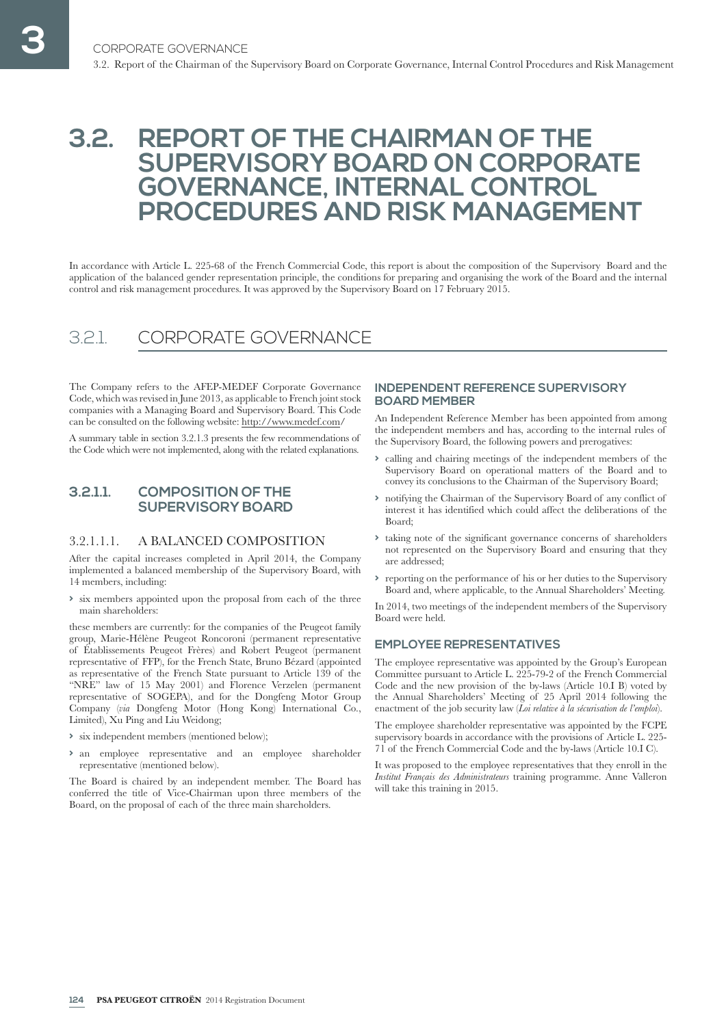# **3.2. REPORT OF THE CHAIRMAN OF THE SUPERVISORY BOARD ON CORPORATE GOVERNANCE, INTERNAL CONTROL PROCEDURES AND RISK MANAGEMENT**

In accordance with Article L. 225-68 of the French Commercial Code, this report is about the composition of the Supervisory Board and the application of the balanced gender representation principle, the conditions for preparing and organising the work of the Board and the internal control and risk management procedures. It was approved by the Supervisory Board on 17 February 2015.

# 3.2.1. CORPORATE GOVERNANCE

The Company refers to the AFEP-MEDEF Corporate Governance Code, which was revised in June 2013, as applicable to French joint stock companies with a Managing Board and Supervisory Board. This Code can be consulted on the following website: http://www. medef. com/

A summary table in section 3.2.1.3 presents the few recommendations of the Code which were not implemented, along with the related explanations.

## **3.2.1.1. COMPOSITION OF THE SUPERVISORY BOARD**

## 3.2.1.1.1. A BALANCED COMPOSITION

After the capital increases completed in April 2014, the Company implemented a balanced membership of the Supervisory Board, with 14 members, including:

**>** six members appointed upon the proposal from each of the three main shareholders:

these members are currently: for the companies of the Peugeot family group, Marie-Hélène Peugeot Roncoroni (permanent representative of Établissements Peugeot Frères) and Robert Peugeot (permanent representative of FFP), for the French State, Bruno Bézard (appointed as representative of the French State pursuant to Article 139 of the "NRE" law of 15 May 2001) and Florence Verzelen (permanent representative of SOGEPA), and for the Dongfeng Motor Group Company (*via* Dongfeng Motor (Hong Kong) International Co., Limited), Xu Ping and Liu Weidong;

- **>** six independent members (mentioned below);
- **>** an employee representative and an employee shareholder representative (mentioned below).

The Board is chaired by an independent member. The Board has conferred the title of Vice-Chairman upon three members of the Board, on the proposal of each of the three main shareholders.

### **INDEPENDENT REFERENCE SUPERVISORY BOARD MEMBER**

An Independent Reference Member has been appointed from among the independent members and has, according to the internal rules of the Supervisory Board, the following powers and prerogatives:

- **>** calling and chairing meetings of the independent members of the Supervisory Board on operational matters of the Board and to convey its conclusions to the Chairman of the Supervisory Board;
- **>** notifying the Chairman of the Supervisory Board of any conflict of interest it has identified which could affect the deliberations of the Board;
- **>** taking note of the significant governance concerns of shareholders not represented on the Supervisory Board and ensuring that they are addressed;
- **>** reporting on the performance of his or her duties to the Supervisory Board and, where applicable, to the Annual Shareholders' Meeting.

In 2014, two meetings of the independent members of the Supervisory Board were held.

## **EMPLOYEE REPRESENTATIVES**

The employee representative was appointed by the Group's European Committee pursuant to Article L. 225-79-2 of the French Commercial Code and the new provision of the by-laws (Article 10.I B) voted by the Annual Shareholders' Meeting of 25 April 2014 following the enactment of the job security law (*Loi relative à la sécurisation de l'emploi*).

The employee shareholder representative was appointed by the FCPE supervisory boards in accordance with the provisions of Article L. 225- 71 of the French Commercial Code and the by-laws (Article 10.I C).

It was proposed to the employee representatives that they enroll in the *Institut Français des Administrateurs* training programme. Anne Valleron will take this training in 2015.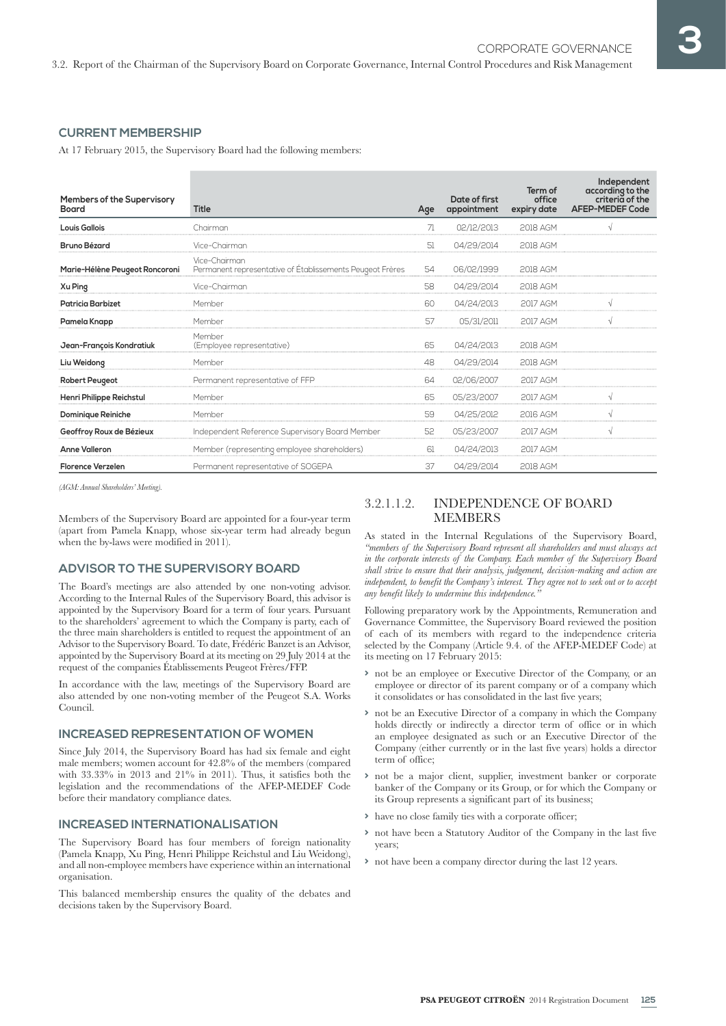## **CURRENT MEMBERSHIP**

At 17 February 2015, the Supervisory Board had the following members:

| <b>Members of the Supervisory</b><br>Board | <b>Title</b>                                                               | Age | Date of first<br>appointment | Term of<br>office<br>expiry date | Independent<br>according to the<br>criteria of the<br><b>AFEP-MEDEF Code</b> |
|--------------------------------------------|----------------------------------------------------------------------------|-----|------------------------------|----------------------------------|------------------------------------------------------------------------------|
| <b>Louis Gallois</b>                       | Chairman                                                                   | 71  | 02/12/2013                   | <b>2018 AGM</b>                  |                                                                              |
| <b>Bruno Bézard</b>                        | Vice-Chairman                                                              | 51  | 04/29/2014                   | 2018 AGM                         |                                                                              |
| Marie-Hélène Peugeot Roncoroni             | Vice-Chairman<br>Permanent representative of Établissements Peugeot Frères | 54  | 06/02/1999                   | 2018 AGM                         |                                                                              |
| Xu Ping                                    | Vice-Chairman                                                              | 58  | 04/29/2014                   | 2018 AGM                         |                                                                              |
| <b>Patricia Barbizet</b>                   | Member                                                                     | 60  | 04/24/2013                   | 2017 AGM                         |                                                                              |
| Pamela Knapp                               | Member                                                                     | 57  | 05/31/2011                   | <b>2017 AGM</b>                  |                                                                              |
| Jean-François Kondratiuk                   | Member<br>(Employee representative)                                        | 65  | 04/24/2013                   | <b>2018 AGM</b>                  |                                                                              |
| Liu Weidong                                | Member                                                                     | 48  | 04/29/2014                   | 2018 AGM                         |                                                                              |
| <b>Robert Peugeot</b>                      | Permanent representative of FFP                                            | 64  | 02/06/2007                   | 2017 AGM                         |                                                                              |
| Henri Philippe Reichstul                   | Member                                                                     | 65  | 05/23/2007                   | 2017 AGM                         |                                                                              |
| Dominique Reiniche                         | Member                                                                     | 59  | 04/25/2012                   | 2016 AGM                         | √                                                                            |
| Geoffroy Roux de Bézieux                   | Independent Reference Supervisory Board Member                             | 52  | 05/23/2007                   | <b>2017 AGM</b>                  |                                                                              |
| <b>Anne Valleron</b>                       | Member (representing employee shareholders)                                | 61  | 04/24/2013                   | <b>2017 AGM</b>                  |                                                                              |
| <b>Florence Verzelen</b>                   | Permanent representative of SOGEPA                                         | 37  | 04/29/2014                   | 2018 AGM                         |                                                                              |

*(AGM: Annual Shareholders' Meeting).*

Members of the Supervisory Board are appointed for a four-year term (apart from Pamela Knapp, whose six-year term had already begun when the by-laws were modified in 2011).

## **ADVISOR TO THE SUPERVISORY BOARD**

The Board's meetings are also attended by one non-voting advisor. According to the Internal Rules of the Supervisory Board, this advisor is appointed by the Supervisory Board for a term of four years. Pursuant to the shareholders' agreement to which the Company is party, each of the three main shareholders is entitled to request the appointment of an Advisor to the Supervisory Board. To date, Frédéric Banzet is an Advisor, appointed by the Supervisory Board at its meeting on 29 July 2014 at the request of the companies Établissements Peugeot Frères/FFP.

In accordance with the law, meetings of the Supervisory Board are also attended by one non-voting member of the Peugeot S.A. Works Council.

## **INCREASED REPRESENTATION OF WOMEN**

Since July 2014, the Supervisory Board has had six female and eight male members; women account for 42.8% of the members (compared with 33.33% in 2013 and 21% in 2011). Thus, it satisfies both the legislation and the recommendations of the AFEP-MEDEF Code before their mandatory compliance dates.

#### **INCREASED INTERNATIONALISATION**

The Supervisory Board has four members of foreign nationality (Pamela Knapp, Xu Ping, Henri Philippe Reichstul and Liu Weidong), and all non-employee members have experience within an international organisation.

This balanced membership ensures the quality of the debates and decisions taken by the Supervisory Board.

## 3.2.1.1.2. INDEPENDENCE OF BOARD MEMBERS

As stated in the Internal Regulations of the Supervisory Board, *"members of the Supervisory Board represent all shareholders and must always act in the corporate interests of the Company. Each member of the Supervisory Board shall strive to ensure that their analysis, judgement, decision-making and action are independent, to benefit the Company's interest. They agree not to seek out or to accept any benefit likely to undermine this independence."*

Following preparatory work by the Appointments, Remuneration and Governance Committee, the Supervisory Board reviewed the position of each of its members with regard to the independence criteria selected by the Company (Article 9.4. of the AFEP-MEDEF Code) at its meeting on 17 February 2015:

- **>** not be an employee or Executive Director of the Company, or an employee or director of its parent company or of a company which it consolidates or has consolidated in the last five years;
- **>** not be an Executive Director of a company in which the Company holds directly or indirectly a director term of office or in which an employee designated as such or an Executive Director of the Company (either currently or in the last five years) holds a director term of office;
- **>** not be a major client, supplier, investment banker or corporate banker of the Company or its Group, or for which the Company or its Group represents a significant part of its business;
- **>** have no close family ties with a corporate officer;
- **>** not have been a Statutory Auditor of the Company in the last five years;
- **>** not have been a company director during the last 12 years.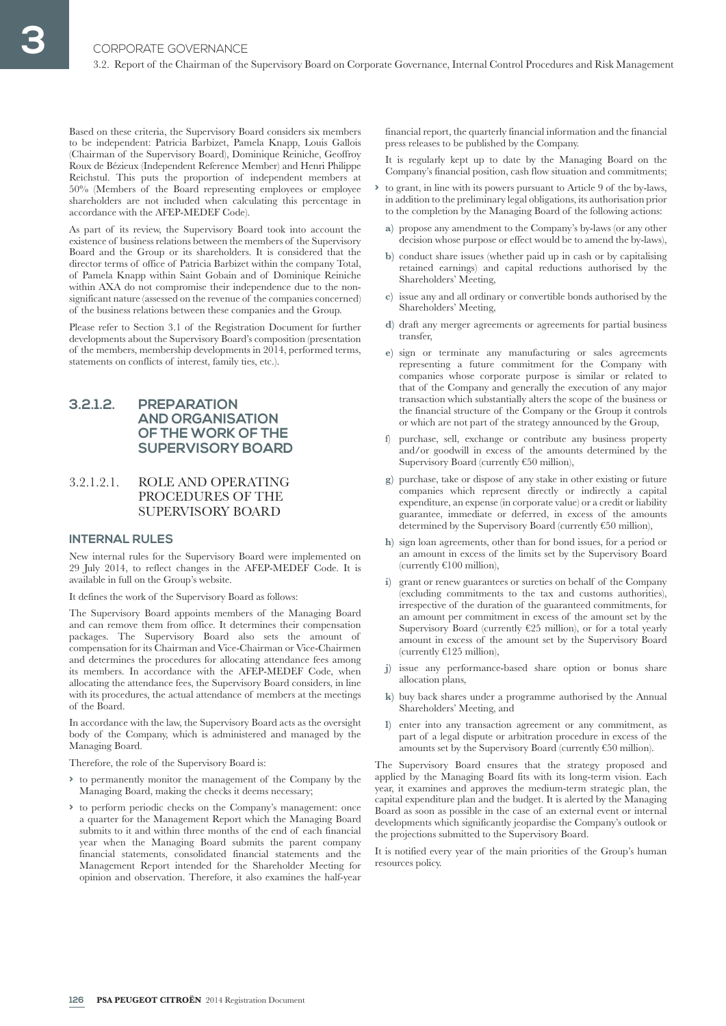Based on these criteria, the Supervisory Board considers six members to be independent: Patricia Barbizet, Pamela Knapp, Louis Gallois (Chairman of the Supervisory Board), Dominique Reiniche, Geoffroy Roux de Bézieux ( Independent Reference Member) and Henri Philippe Reichstul. This puts the proportion of independent members at 50% (Members of the Board representing employees or employee shareholders are not included when calculating this percentage in accordance with the AFEP-MEDEF Code).

As part of its review, the Supervisory Board took into account the existence of business relations between the members of the Supervisory Board and the Group or its shareholders. It is considered that the director terms of office of Patricia Barbizet within the company Total, of Pamela Knapp within Saint Gobain and of Dominique Reiniche within AXA do not compromise their independence due to the nonsignificant nature (assessed on the revenue of the companies concerned) of the business relations between these companies and the Group.

Please refer to Section 3.1 of the Registration Document for further developments about the Supervisory Board's composition (presentation of the members, membership developments in 2014, performed terms, statements on conflicts of interest, family ties, etc.).

## **3.2.1.2. PREPARATION AND ORGANISATION OF THE WORK OF THE SUPERVISORY BOARD**

## 3.2.1.2.1. ROLE AND OPERATING PROCEDURES OF THE SUPERVISORY BOARD

#### **INTERNAL RULES**

New internal rules for the Supervisory Board were implemented on 29 July 2014, to reflect changes in the AFEP-MEDEF Code. It is available in full on the Group's website.

It defines the work of the Supervisory Board as follows:

The Supervisory Board appoints members of the Managing Board and can remove them from office. It determines their compensation packages. The Supervisory Board also sets the amount of compensation for its Chairman and Vice-Chairman or Vice-Chairmen and determines the procedures for allocating attendance fees among its members. In accordance with the AFEP-MEDEF Code, when allocating the attendance fees, the Supervisory Board considers, in line with its procedures, the actual attendance of members at the meetings of the Board.

In accordance with the law, the Supervisory Board acts as the oversight body of the Company, which is administered and managed by the Managing Board.

Therefore, the role of the Supervisory Board is:

- **>** to permanently monitor the management of the Company by the Managing Board, making the checks it deems necessary;
- **>** to perform periodic checks on the Company's management: once a quarter for the Management Report which the Managing Board submits to it and within three months of the end of each financial year when the Managing Board submits the parent company financial statements, consolidated financial statements and the Management Report intended for the Shareholder Meeting for opinion and observation. Therefore, it also examines the half-year

financial report, the quarterly financial information and the financial press releases to be published by the Company.

It is regularly kept up to date by the Managing Board on the Company's financial position, cash flow situation and commitments;

- **>** to grant, in line with its powers pursuant to Article 9 of the by-laws , in addition to the preliminary legal obligations, its authorisation prior to the completion by the Managing Board of the following actions:
	- **a)** propose any amendment to the Company's by-laws (or any other decision whose purpose or effect would be to amend the by-laws ),
	- **b)** conduct share issues (whether paid up in cash or by capitalising retained earnings) and capital reductions authorised by the Shareholders' Meeting,
	- **c)** issue any and all ordinary or convertible bonds authorised by the Shareholders' Meeting,
	- **d)** draft any merger agreements or agreements for partial business transfer,
	- **e)** sign or terminate any manufacturing or sales agreements representing a future commitment for the Company with companies whose corporate purpose is similar or related to that of the Company and generally the execution of any major transaction which substantially alters the scope of the business or the financial structure of the Company or the Group it controls or which are not part of the strategy announced by the Group,
	- f) purchase, sell, exchange or contribute any business property and/or goodwill in excess of the amounts determined by the Supervisory Board (currently €50 million),
	- **g)** purchase, take or dispose of any stake in other existing or future companies which represent directly or indirectly a capital expenditure, an expense (in corporate value) or a credit or liability guarantee, immediate or deferred, in excess of the amounts determined by the Supervisory Board (currently €50 million),
	- **h)** sign loan agreements, other than for bond issues, for a period or an amount in excess of the limits set by the Supervisory Board (currently €100 million),
	- **i)** grant or renew guarantees or sureties on behalf of the Company (excluding commitments to the tax and customs authorities), irrespective of the duration of the guaranteed commitments, for an amount per commitment in excess of the amount set by the Supervisory Board (currently  $E25$  million), or for a total yearly amount in excess of the amount set by the Supervisory Board (currently  $£125$  million),
	- **j)** issue any performance-based share option or bonus share allocation plans,
	- **k)** buy back shares under a programme authorised by the Annual Shareholders' Meeting, and
	- **l)** enter into any transaction agreement or any commitment, as part of a legal dispute or arbitration procedure in excess of the amounts set by the Supervisory Board (currently €50 million).

The Supervisory Board ensures that the strategy proposed and applied by the Managing Board fits with its long-term vision. Each year, it examines and approves the medium-term strategic plan, the capital expenditure plan and the budget. It is alerted by the Managing Board as soon as possible in the case of an external event or internal developments which significantly jeopardise the Company's outlook or the projections submitted to the Supervisory Board.

It is notified every year of the main priorities of the Group's human resources policy.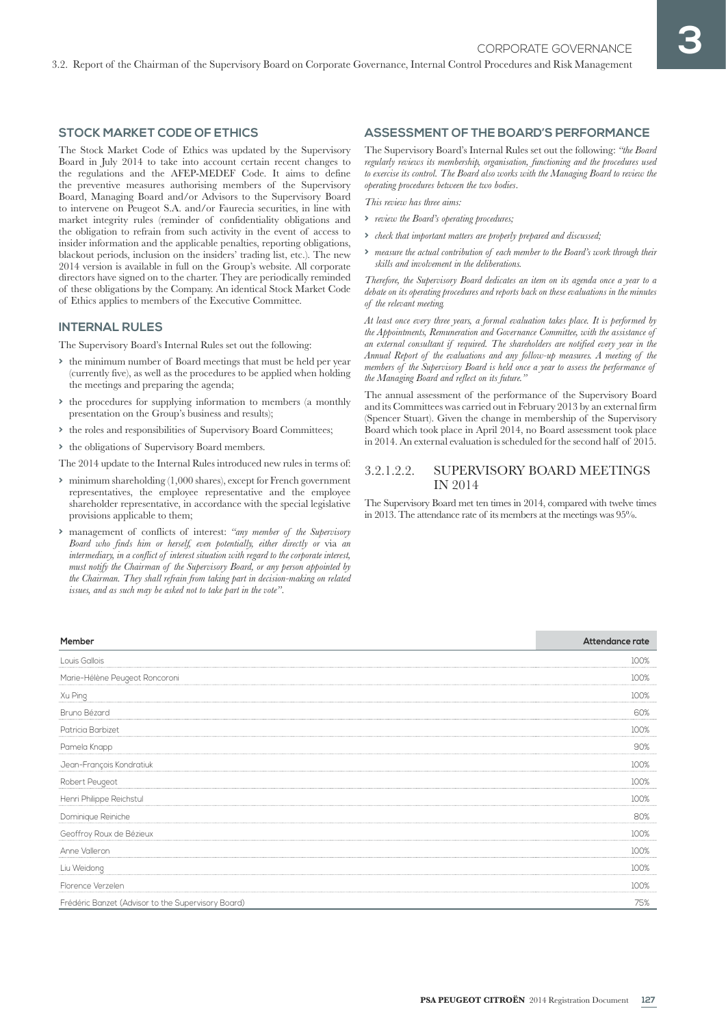### **STOCK MARKET CODE OF ETHICS**

The Stock Market Code of Ethics was updated by the Supervisory Board in July 2014 to take into account certain recent changes to the regulations and the AFEP-MEDEF Code. It aims to define the preventive measures authorising members of the Supervisory Board, Managing Board and/or Advisors to the Supervisory Board to intervene on Peugeot S.A. and/or Faurecia securities, in line with market integrity rules (reminder of confidentiality obligations and the obligation to refrain from such activity in the event of access to insider information and the applicable penalties, reporting obligations, blackout periods, inclusion on the insiders' trading list, etc.). The new 2014 version is available in full on the Group's website. All corporate directors have signed on to the charter. They are periodically reminded of these obligations by the Company. An identical Stock Market Code of Ethics applies to members of the Executive Committee.

#### **INTERNAL RULES**

The Supervisory Board's Internal Rules set out the following:

- **>** the minimum number of Board meetings that must be held per year (currently five), as well as the procedures to be applied when holding the meetings and preparing the agenda;
- **>** the procedures for supplying information to members (a monthly presentation on the Group's business and results);
- **>** the roles and responsibilities of Supervisory Board Committees;

**>** the obligations of Supervisory Board members.

The 2014 update to the Internal Rules introduced new rules in terms of:

- **>** minimum shareholding (1,000 shares), except for French government representatives, the employee representative and the employee shareholder representative, in accordance with the special legislative provisions applicable to them;
- **>** management of conflicts of interest: *"any member of the Supervisory Board who finds him or herself, even potentially, either directly or* via *an intermediary, in a conflict of interest situation with regard to the corporate interest, must notify the Chairman of the Supervisory Board, or any person appointed by the Chairman. They shall refrain from taking part in decision-making on related issues, and as such may be asked not to take part in the vote"*.

#### **ASSESSMENT OF THE BOARD'S PERFORMANCE**

The Supervisory Board's Internal Rules set out the following: "the Board *regularly reviews its membership, organisation, functioning and the procedures used*  to exercise its control. The Board also works with the Managing Board to review the *operating procedures between the two bodies*.

*This review has three aims:*

- **>** *review the Board's operating procedures;*
- **>** *check that important matters are properly prepared and discussed;*
- **>** *measure the actual contribution of each member to the Board's work through their skills and involvement in the deliberations.*

*Therefore, the Supervisory Board dedicates an item on its agenda once a year to a debate on its operating procedures and reports back on these evaluations in the minutes of the relevant meeting.*

*At least once every three years, a formal evaluation takes place. It is performed by the Appointments, Remuneration and Governance Committee, with the assistance of an external consultant if required. The shareholders are notified every year in the Annual Report of the evaluations and any follow-up measures. A meeting of the members of the Supervisory Board is held once a year to assess the performance of the Managing Board and reflect on its future."*

The annual assessment of the performance of the Supervisory Board and its Committees was carried out in February 2013 by an external firm (Spencer Stuart). Given the change in membership of the Supervisory Board which took place in April 2014, no Board assessment took place in 2014. An external evaluation is scheduled for the second half of 2015.

#### 3.2.1.2.2. SUPERVISORY BOARD MEETINGS IN 2014

The Supervisory Board met ten times in 2014, compared with twelve times in 2013. The attendance rate of its members at the meetings was 95%.

| Member                                             | Attendance rate |
|----------------------------------------------------|-----------------|
| Louis Gallois                                      | 100%            |
| Marie-Hélène Peugeot Roncoroni                     | 100%            |
| Xu Ping                                            | 100%            |
| Bruno Bézard                                       | 60%             |
| Patricia Barbizet                                  | 100%            |
| Pamela Knapp                                       | 90%             |
| Jean-François Kondratiuk                           | 100%            |
| Robert Peugeot                                     | 100%            |
| Henri Philippe Reichstul                           | 100%            |
| Dominique Reiniche                                 | 80%             |
| Geoffroy Roux de Bézieux                           | 100%            |
| Anne Valleron                                      | 100%            |
| Liu Weidong                                        | 100%            |
| Florence Verzelen                                  | 100%            |
| Frédéric Banzet (Advisor to the Supervisory Board) | 75%             |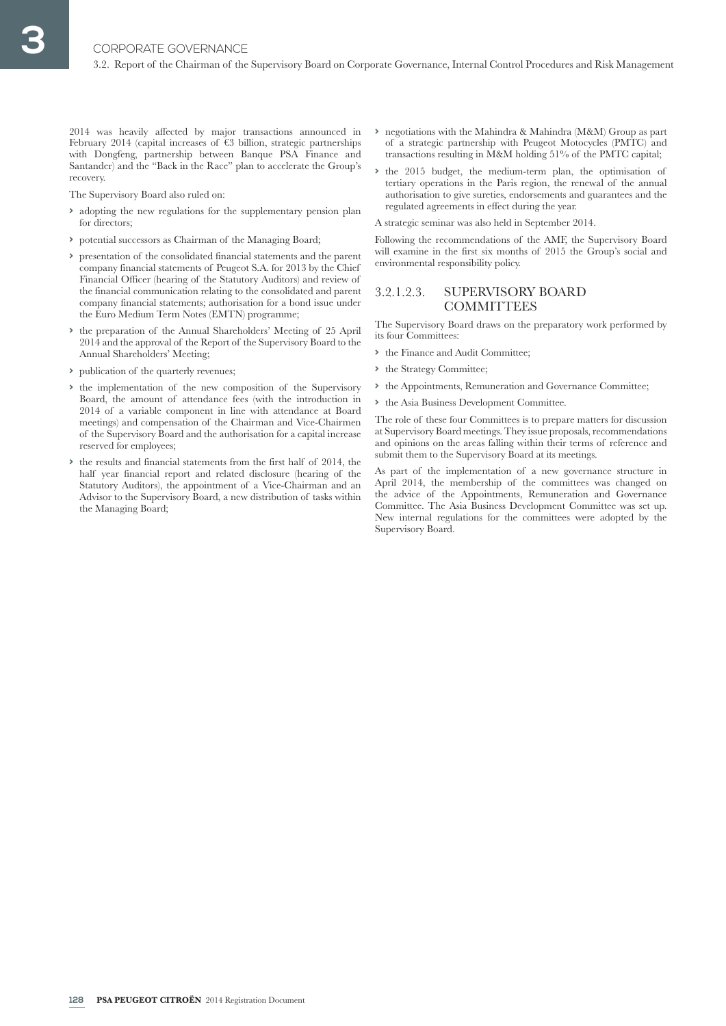2014 was heavily affected by major transactions announced in February 2014 (capital increases of  $\epsilon$ 3 billion, strategic partnerships with Dongfeng, partnership between Banque PSA Finance and Santander) and the "Back in the Race" plan to accelerate the Group's recovery.

The Supervisory Board also ruled on:

- **>** adopting the new regulations for the supplementary pension plan for directors;
- **>** potential successors as Chairman of the Managing Board;
- **>** presentation of the consolidated financial statements and the parent company financial statements of Peugeot S.A. for 2013 by the Chief Financial Officer (hearing of the Statutory Auditors) and review of the financial communication relating to the consolidated and parent company financial statements; authorisation for a bond issue under the Euro Medium Term Notes (EMTN) programme;
- **>** the preparation of the Annual Shareholders' Meeting of 25 April 2014 and the approval of the Report of the Supervisory Board to the Annual Shareholders' Meeting;
- **>** publication of the quarterly revenues;
- **>** the implementation of the new composition of the Supervisory Board, the amount of attendance fees (with the introduction in 2014 of a variable component in line with attendance at Board meetings) and compensation of the Chairman and Vice-Chairmen of the Supervisory Board and the authorisation for a capital increase reserved for employees;
- **>** the results and financial statements from the first half of 2014, the half year financial report and related disclosure (hearing of the Statutory Auditors), the appointment of a Vice-Chairman and an Advisor to the Supervisory Board, a new distribution of tasks within the Managing Board;
- **>** negotiations with the Mahindra & Mahindra (M&M) Group as part of a strategic partnership with Peugeot Motocycles (PMTC) and transactions resulting in M&M holding 51% of the PMTC capital;
- **>** the 2015 budget, the medium-term plan, the optimisation of tertiary operations in the Paris region, the renewal of the annual authorisation to give sureties, endorsements and guarantees and the regulated agreements in effect during the year.

A strategic seminar was also held in September 2014.

Following the recommendations of the AMF, the Supervisory Board will examine in the first six months of 2015 the Group's social and environmental responsibility policy.

## 3.2.1.2.3. SUPERVISORY BOARD **COMMITTEES**

The Supervisory Board draws on the preparatory work performed by its four Committees:

- **>** the Finance and Audit Committee;
- **>** the Strategy Committee;
- **>** the Appointments, Remuneration and Governance Committee;
- **>** the Asia Business Development Committee.

The role of these four Committees is to prepare matters for discussion at Supervisory Board meetings. They issue proposals, recommendations and opinions on the areas falling within their terms of reference and submit them to the Supervisory Board at its meetings.

As part of the implementation of a new governance structure in April 2014, the membership of the committees was changed on the advice of the Appointments, Remuneration and Governance Committee. The Asia Business Development Committee was set up. New internal regulations for the committees were adopted by the Supervisory Board.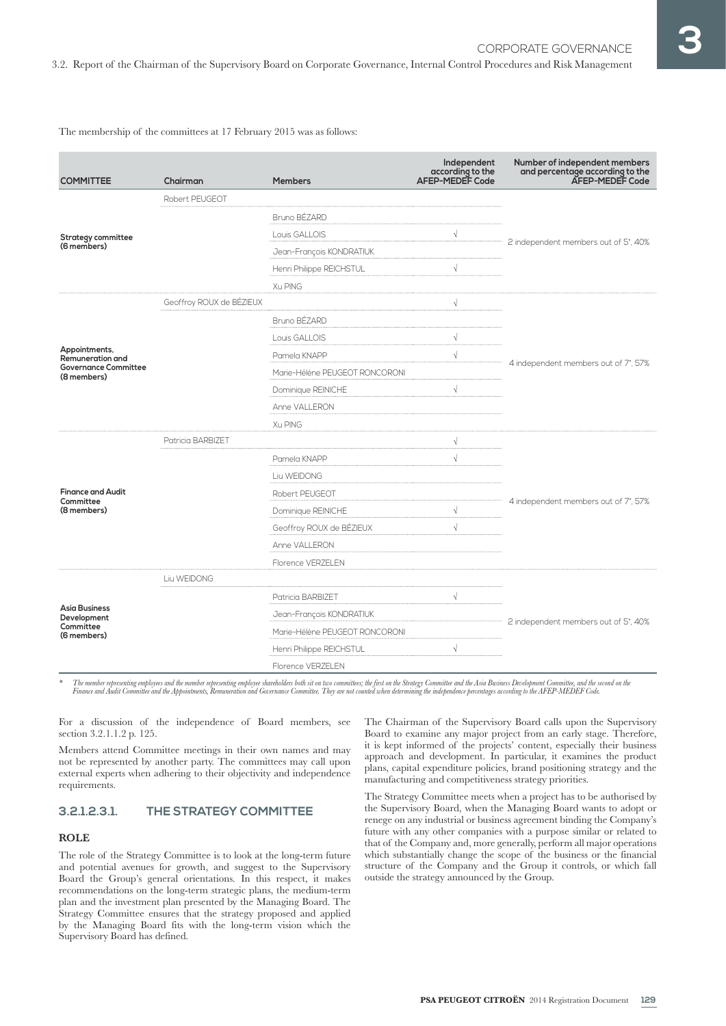The membership of the committees at 17 February 2015 was as follows:

| <b>COMMITTEE</b>                                                                       | Chairman                 | <b>Members</b>                                         | Independent<br>according to the<br>AFEP-MEDEF Code | Number of independent members<br>and percentage according to the<br>AFEP-MEDEF Code |  |  |
|----------------------------------------------------------------------------------------|--------------------------|--------------------------------------------------------|----------------------------------------------------|-------------------------------------------------------------------------------------|--|--|
|                                                                                        | Robert PEUGEOT           |                                                        |                                                    |                                                                                     |  |  |
| <b>Strategy committee</b><br>(6 members)                                               |                          | Bruno BÉZARD                                           |                                                    |                                                                                     |  |  |
|                                                                                        |                          | $\sqrt{}$<br>Louis GALLOIS<br>Jean-François KONDRATIUK |                                                    | 2 independent members out of 5*, 40%                                                |  |  |
|                                                                                        |                          |                                                        |                                                    |                                                                                     |  |  |
|                                                                                        |                          | Henri Philippe REICHSTUL                               | $\sqrt{}$                                          |                                                                                     |  |  |
|                                                                                        |                          | Xu PING                                                |                                                    |                                                                                     |  |  |
|                                                                                        | Geoffroy ROUX de BÉZIEUX |                                                        | $\sqrt{ }$                                         |                                                                                     |  |  |
|                                                                                        |                          | Bruno BÉZARD                                           |                                                    |                                                                                     |  |  |
|                                                                                        |                          | Louis GALLOIS                                          | $\sqrt{}$                                          |                                                                                     |  |  |
| Appointments,<br><b>Remuneration and</b><br><b>Governance Committee</b><br>(8 members) |                          | Pamela KNAPP                                           | $\sqrt{}$                                          |                                                                                     |  |  |
|                                                                                        |                          | Marie-Hélène PEUGEOT RONCORONI                         |                                                    | 4 independent members out of 7*, 57%                                                |  |  |
|                                                                                        |                          | Dominique REINICHE                                     | $\sqrt{}$                                          |                                                                                     |  |  |
|                                                                                        |                          | Anne VALLERON                                          |                                                    |                                                                                     |  |  |
|                                                                                        |                          | Xu PING                                                |                                                    |                                                                                     |  |  |
| <b>Finance and Audit</b><br>Committee<br>(8 members)                                   | Patricia BARBIZET        | V                                                      |                                                    |                                                                                     |  |  |
|                                                                                        |                          | Pamela KNAPP                                           | $\sqrt{}$                                          |                                                                                     |  |  |
|                                                                                        |                          | Liu WEIDONG                                            |                                                    |                                                                                     |  |  |
|                                                                                        |                          | Robert PEUGEOT                                         |                                                    |                                                                                     |  |  |
|                                                                                        |                          | Dominique REINICHE                                     | $\sqrt{}$                                          | 4 independent members out of 7*, 57%                                                |  |  |
|                                                                                        |                          | Geoffroy ROUX de BÉZIEUX                               | $\sqrt{ }$                                         |                                                                                     |  |  |
|                                                                                        |                          | Anne VALLERON                                          |                                                    |                                                                                     |  |  |
|                                                                                        |                          | Florence VERZELEN                                      |                                                    |                                                                                     |  |  |
|                                                                                        | Liu WEIDONG              |                                                        |                                                    |                                                                                     |  |  |
|                                                                                        |                          | Patricia BARBIZET                                      | $\sqrt{}$                                          |                                                                                     |  |  |
| <b>Asia Business</b><br>Development<br>Committee<br>(6 members)                        |                          | Jean-François KONDRATIUK                               |                                                    | 2 independent members out of 5*, 40%                                                |  |  |
|                                                                                        |                          | Marie-Hélène PEUGEOT RONCORONI                         |                                                    |                                                                                     |  |  |
|                                                                                        |                          | Henri Philippe REICHSTUL                               | $\sqrt{}$                                          |                                                                                     |  |  |
|                                                                                        |                          | Florence VERZELEN                                      |                                                    |                                                                                     |  |  |

*\* The member representing employees and the member representing employee shareholders both sit on two committees; the first on the Strategy Committee and the Asia Business Development Committee, and the second on the Finance and Audit Committee and the Appointments, Remuneration and Governance Committee. They are not counted when determining the independence percentages according to the AFEP-MEDEF Code.*

For a discussion of the independence of Board members, see section 3.2.1.1.2 p. 125.

Members attend Committee meetings in their own names and may not be represented by another party. The committees may call upon external experts when adhering to their objectivity and independence requirements.

## **3.2.1.2.3.1. THE STRATEGY COMMITTEE**

#### **ROLE**

The role of the Strategy Committee is to look at the long-term future and potential avenues for growth, and suggest to the Supervisory Board the Group's general orientations. In this respect, it makes recommendations on the long-term strategic plans, the medium-term plan and the investment plan presented by the Managing Board. The Strategy Committee ensures that the strategy proposed and applied by the Managing Board fits with the long-term vision which the Supervisory Board has defined.

The Chairman of the Supervisory Board calls upon the Supervisory Board to examine any major project from an early stage. Therefore, it is kept informed of the projects' content, especially their business approach and development. In particular, it examines the product plans, capital expenditure policies, brand positioning strategy and the manufacturing and competitiveness strategy priorities.

The Strategy Committee meets when a project has to be authorised by the Supervisory Board, when the Managing Board wants to adopt or renege on any industrial or business agreement binding the Company's future with any other companies with a purpose similar or related to that of the Company and, more generally, perform all major operations which substantially change the scope of the business or the financial structure of the Company and the Group it controls, or which fall outside the strategy announced by the Group.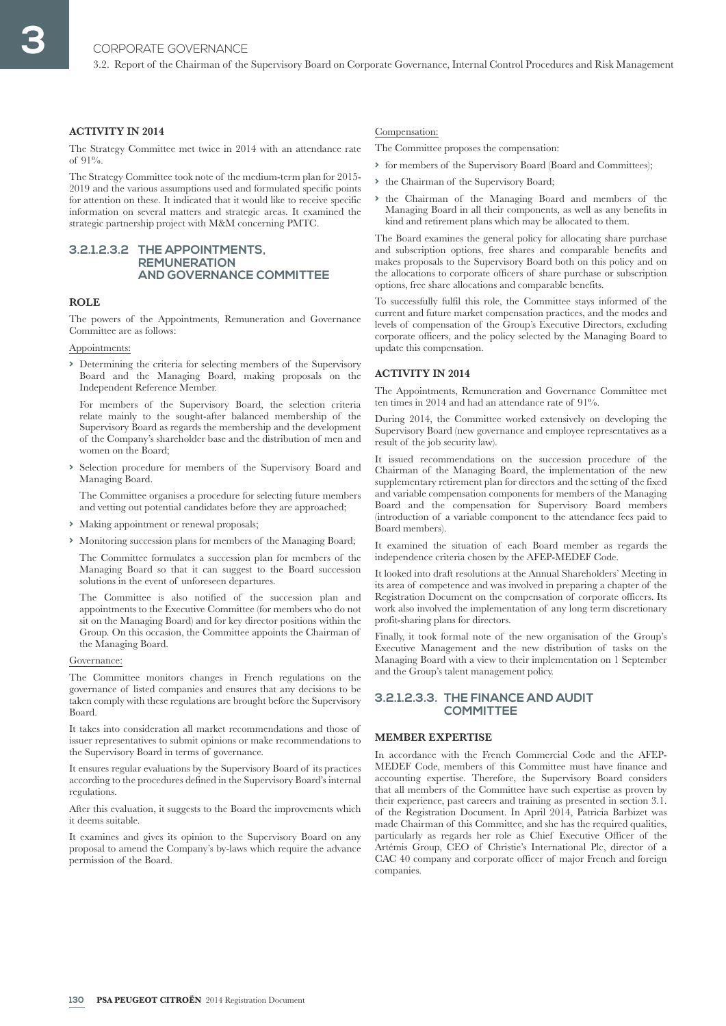3.2. Report of the Chairman of the Supervisory Board on Corporate Governance, Internal Control Procedures and Risk Management

#### **ACTIVITY IN 2014**

The Strategy Committee met twice in 2014 with an attendance rate of  $91\%$ .

The Strategy Committee took note of the medium-term plan for 2015- 2019 and the various assumptions used and formulated specific points for attention on these. It indicated that it would like to receive specific information on several matters and strategic areas. It examined the strategic partnership project with M&M concerning PMTC.

#### **3.2.1.2.3.2 THE APPOINTMENTS, REMUNERATION AND GOVERNANCE COMMITTEE**

#### **ROLE**

The powers of the Appointments, Remuneration and Governance Committee are as follows:

#### Appointments:

**>** Determining the criteria for selecting members of the Supervisory Board and the Managing Board, making proposals on the Independent Reference Member.

For members of the Supervisory Board, the selection criteria relate mainly to the sought-after balanced membership of the Supervisory Board as regards the membership and the development of the Company's shareholder base and the distribution of men and women on the Board;

**>** Selection procedure for members of the Supervisory Board and Managing Board.

The Committee organises a procedure for selecting future members and vetting out potential candidates before they are approached;

- **>** Making appointment or renewal proposals;
- **>** Monitoring succession plans for members of the Managing Board;

The Committee formulates a succession plan for members of the Managing Board so that it can suggest to the Board succession solutions in the event of unforeseen departures.

The Committee is also notified of the succession plan and appointments to the Executive Committee (for members who do not sit on the Managing Board) and for key director positions within the Group. On this occasion, the Committee appoints the Chairman of the Managing Board.

#### Governance:

The Committee monitors changes in French regulations on the governance of listed companies and ensures that any decisions to be taken comply with these regulations are brought before the Supervisory Board.

It takes into consideration all market recommendations and those of issuer representatives to submit opinions or make recommendations to the Supervisory Board in terms of governance.

It ensures regular evaluations by the Supervisory Board of its practices according to the procedures defined in the Supervisory Board's internal regulations.

After this evaluation, it suggests to the Board the improvements which it deems suitable.

It examines and gives its opinion to the Supervisory Board on any proposal to amend the Company's by-laws which require the advance permission of the Board.

#### Compensation:

The Committee proposes the compensation:

- **>** for members of the Supervisory Board (Board and Committees);
- **>** the Chairman of the Supervisory Board;
- **>** the Chairman of the Managing Board and members of the Managing Board in all their components, as well as any benefits in kind and retirement plans which may be allocated to them.

The Board examines the general policy for allocating share purchase and subscription options, free shares and comparable benefits and makes proposals to the Supervisory Board both on this policy and on the allocations to corporate officers of share purchase or subscription options, free share allocations and comparable benefits.

To successfully fulfil this role, the Committee stays informed of the current and future market compensation practices, and the modes and levels of compensation of the Group's Executive Directors, excluding corporate officers, and the policy selected by the Managing Board to update this compensation.

#### **ACTIVITY IN 2014**

The Appointments, Remuneration and Governance Committee met ten times in 2014 and had an attendance rate of 91%.

During 2014, the Committee worked extensively on developing the Supervisory Board (new governance and employee representatives as a result of the job security law).

It issued recommendations on the succession procedure of the Chairman of the Managing Board, the implementation of the new supplementary retirement plan for directors and the setting of the fixed and variable compensation components for members of the Managing Board and the compensation for Supervisory Board members (introduction of a variable component to the attendance fees paid to Board members).

It examined the situation of each Board member as regards the independence criteria chosen by the AFEP-MEDEF Code.

It looked into draft resolutions at the Annual Shareholders' Meeting in its area of competence and was involved in preparing a chapter of the Registration Document on the compensation of corporate officers. Its work also involved the implementation of any long term discretionary profit-sharing plans for directors.

Finally, it took formal note of the new organisation of the Group's Executive Management and the new distribution of tasks on the Managing Board with a view to their implementation on 1 September and the Group's talent management policy.

### **3.2.1.2.3.3. THE FINANCE AND AUDIT COMMITTEE**

#### **MEMBER EXPERTISE**

In accordance with the French Commercial Code and the AFEP-MEDEF Code, members of this Committee must have finance and accounting expertise. Therefore, the Supervisory Board considers that all members of the Committee have such expertise as proven by their experience, past careers and training as presented in section 3.1. of the Registration Document. In April 2014, Patricia Barbizet was made Chairman of this Committee, and she has the required qualities, particularly as regards her role as Chief Executive Officer of the Artémis Group, CEO of Christie's International Plc, director of a CAC 40 company and corporate officer of major French and foreign companies.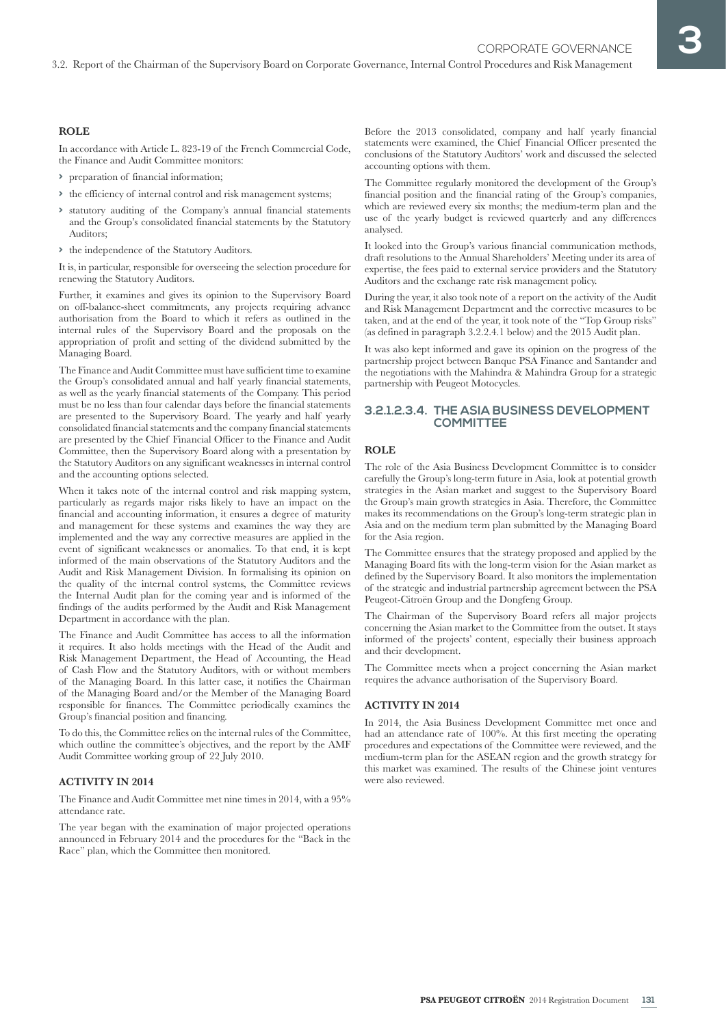#### **ROLE**

In accordance with Article L. 823-19 of the French Commercial Code, the Finance and Audit Committee monitors:

- **>** preparation of financial information;
- **>** the efficiency of internal control and risk management systems;
- **>** statutory auditing of the Company's annual financial statements and the Group's consolidated financial statements by the Statutory Auditors;
- **>** the independence of the Statutory Auditors.

It is, in particular, responsible for overseeing the selection procedure for renewing the Statutory Auditors.

Further, it examines and gives its opinion to the Supervisory Board on off-balance-sheet commitments, any projects requiring advance authorisation from the Board to which it refers as outlined in the internal rules of the Supervisory Board and the proposals on the appropriation of profit and setting of the dividend submitted by the Managing Board.

The Finance and Audit Committee must have sufficient time to examine the Group's consolidated annual and half yearly financial statements, as well as the yearly financial statements of the Company. This period must be no less than four calendar days before the financial statements are presented to the Supervisory Board. The yearly and half yearly consolidated financial statements and the company financial statements are presented by the Chief Financial Officer to the Finance and Audit Committee, then the Supervisory Board along with a presentation by the Statutory Auditors on any significant weaknesses in internal control and the accounting options selected.

When it takes note of the internal control and risk mapping system, particularly as regards major risks likely to have an impact on the financial and accounting information, it ensures a degree of maturity and management for these systems and examines the way they are implemented and the way any corrective measures are applied in the event of significant weaknesses or anomalies. To that end, it is kept informed of the main observations of the Statutory Auditors and the Audit and Risk Management Division. In formalising its opinion on the quality of the internal control systems, the Committee reviews the Internal Audit plan for the coming year and is informed of the findings of the audits performed by the Audit and Risk Management Department in accordance with the plan.

The Finance and Audit Committee has access to all the information it requires. It also holds meetings with the Head of the Audit and Risk Management Department, the Head of Accounting, the Head of Cash Flow and the Statutory Auditors, with or without members of the Managing Board. In this latter case, it notifies the Chairman of the Managing Board and/or the Member of the Managing Board responsible for finances. The Committee periodically examines the Group's financial position and financing.

To do this, the Committee relies on the internal rules of the Committee, which outline the committee's objectives, and the report by the AMF Audit Committee working group of 22 July 2010.

#### **ACTIVITY IN 2014**

The Finance and Audit Committee met nine times in 2014, with a 95% attendance rate.

The year began with the examination of major projected operations announced in February 2014 and the procedures for the "Back in the Race" plan, which the Committee then monitored.

Before the 2013 consolidated, company and half yearly financial statements were examined, the Chief Financial Officer presented the conclusions of the Statutory Auditors' work and discussed the selected accounting options with them.

The Committee regularly monitored the development of the Group's financial position and the financial rating of the Group's companies, which are reviewed every six months; the medium-term plan and the use of the yearly budget is reviewed quarterly and any differences analysed.

It looked into the Group's various financial communication methods, draft resolutions to the Annual Shareholders' Meeting under its area of expertise, the fees paid to external service providers and the Statutory Auditors and the exchange rate risk management policy.

During the year, it also took note of a report on the activity of the Audit and Risk Management Department and the corrective measures to be taken, and at the end of the year, it took note of the "Top Group risks" (as defined in paragraph 3.2.2.4.1 below) and the 2015 Audit plan.

It was also kept informed and gave its opinion on the progress of the partnership project between Banque PSA Finance and Santander and the negotiations with the Mahindra & Mahindra Group for a strategic partnership with Peugeot Motocycles.

#### **3.2.1.2.3.4. THE ASIA BUSINESS DEVELOPMENT COMMITTEE**

#### **ROLE**

3.2. Report of the Chairman of the Supervisory Board on Corporate Governance, Internal Control Procedures and Risk Management

The role of the Asia Business Development Committee is to consider carefully the Group's long-term future in Asia, look at potential growth strategies in the Asian market and suggest to the Supervisory Board the Group's main growth strategies in Asia. Therefore, the Committee makes its recommendations on the Group's long-term strategic plan in Asia and on the medium term plan submitted by the Managing Board for the Asia region.

The Committee ensures that the strategy proposed and applied by the Managing Board fits with the long-term vision for the Asian market as defined by the Supervisory Board. It also monitors the implementation of the strategic and industrial partnership agreement between the PSA Peugeot-Citroën Group and the Dongfeng Group.

The Chairman of the Supervisory Board refers all major projects concerning the Asian market to the Committee from the outset. It stays informed of the projects' content, especially their business approach and their development.

The Committee meets when a project concerning the Asian market requires the advance authorisation of the Supervisory Board.

#### **ACTIVITY IN 2014**

In 2014, the Asia Business Development Committee met once and had an attendance rate of 100%. At this first meeting the operating procedures and expectations of the Committee were reviewed, and the medium-term plan for the ASEAN region and the growth strategy for this market was examined. The results of the Chinese joint ventures were also reviewed.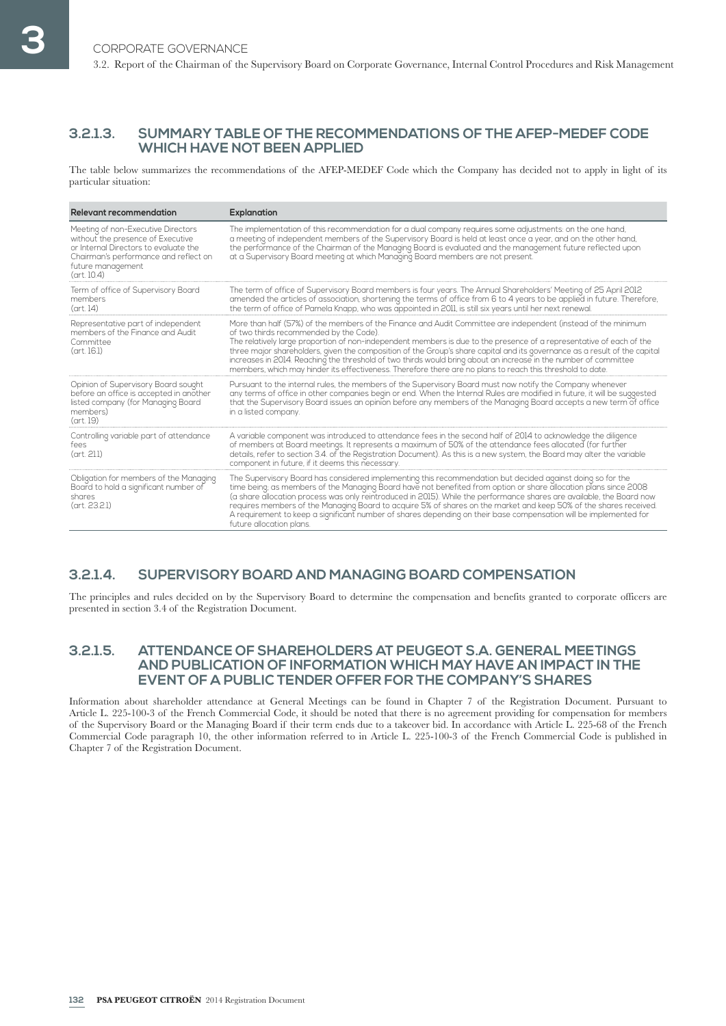## **3.2.1.3. SUMMARY TABLE OF THE RECOMMENDATIONS OF THE AFEP-MEDEF CODE WHICH HAVE NOT BEEN APPLIED**

The table below summarizes the recommendations of the AFEP-MEDEF Code which the Company has decided not to apply in light of its particular situation:

| <b>Relevant recommendation</b>                                                                                                                                                                          | Explanation                                                                                                                                                                                                                                                                                                                                                                                                                                                                                                                                                                                                                                       |
|---------------------------------------------------------------------------------------------------------------------------------------------------------------------------------------------------------|---------------------------------------------------------------------------------------------------------------------------------------------------------------------------------------------------------------------------------------------------------------------------------------------------------------------------------------------------------------------------------------------------------------------------------------------------------------------------------------------------------------------------------------------------------------------------------------------------------------------------------------------------|
| Meeting of non-Executive Directors<br>without the presence of Executive<br>or Internal Directors to evaluate the<br>Chairman's performance and reflect on<br>future management<br>$(\text{art. } 10.4)$ | The implementation of this recommendation for a dual company requires some adjustments; on the one hand,<br>a meeting of independent members of the Supervisory Board is held at least once a year, and on the other hand,<br>the performance of the Chairman of the Managing Board is evaluated and the management future reflected upon<br>at a Supervisory Board meeting at which Managing Board members are not present.                                                                                                                                                                                                                      |
| Term of office of Supervisory Board<br>members<br>$(\text{art. } 14)$                                                                                                                                   | The term of office of Supervisory Board members is four years. The Annual Shareholders' Meeting of 25 April 2012<br>amended the articles of association, shortening the terms of office from 6 to 4 years to be applied in future. Therefore,<br>the term of office of Pamela Knapp, who was appointed in 2011, is still six years until her next renewal.                                                                                                                                                                                                                                                                                        |
| Representative part of independent<br>members of the Finance and Audit<br>Committee<br>(art. 16.1)                                                                                                      | More than half (57%) of the members of the Finance and Audit Committee are independent (instead of the minimum<br>of two thirds recommended by the Code).<br>The relatively large proportion of non-independent members is due to the presence of a representative of each of the<br>three major shareholders, given the composition of the Group's share capital and its governance as a result of the capital<br>increases in 2014. Reaching the threshold of two thirds would bring about an increase in the number of committee<br>members, which may hinder its effectiveness. Therefore there are no plans to reach this threshold to date. |
| Opinion of Supervisory Board sought<br>before an office is accepted in another<br>listed company (for Managing Board<br>members)<br>(art. 19)                                                           | Pursuant to the internal rules, the members of the Supervisory Board must now notify the Company whenever<br>any terms of office in other companies begin or end. When the Internal Rules are modified in future, it will be suggested<br>that the Supervisory Board issues an opinion before any members of the Managing Board accepts a new term of office<br>in a listed company.                                                                                                                                                                                                                                                              |
| Controlling variable part of attendance<br>fees<br>(art. 21.1)                                                                                                                                          | A variable component was introduced to attendance fees in the second half of 2014 to acknowledge the diligence<br>of members at Board meetings. It represents a maximum of 50% of the attendance fees allocated (for further<br>details, refer to section 3.4. of the Registration Document). As this is a new system, the Board may alter the variable<br>component in future, if it deems this necessary.                                                                                                                                                                                                                                       |
| Obligation for members of the Managing<br>Board to hold a significant number of<br>shares<br>(art. 23.2.1)                                                                                              | The Supervisory Board has considered implementing this recommendation but decided against doing so for the<br>time being; as members of the Managing Board have not benefited from option or share allocation plans since 2008<br>(a share allocation process was only reintroduced in 2015). While the performance shares are available, the Board now<br>requires members of the Managing Board to acquire 5% of shares on the market and keep 50% of the shares received.<br>A requirement to keep a significant number of shares depending on their base compensation will be implemented for<br>future allocation plans.                     |

## **3.2.1.4. SUPERVISORY BOARD AND MANAGING BOARD COMPENSATION**

The principles and rules decided on by the Supervisory Board to determine the compensation and benefits granted to corporate officers are presented in section 3.4 of the Registration Document.

## **3.2.1.5. ATTENDANCE OF SHAREHOLDERS AT PEUGEOT S.A. GENERAL MEETINGS AND PUBLICATION OF INFORMATION WHICH MAY HAVE AN IMPACT IN THE EVENT OF A PUBLIC TENDER OFFER FOR THE COMPANY'S SHARES**

Information about shareholder attendance at General Meetings can be found in Chapter 7 of the Registration Document. Pursuant to Article L. 225-100-3 of the French Commercial Code, it should be noted that there is no agreement providing for compensation for members of the Supervisory Board or the Managing Board if their term ends due to a takeover bid. In accordance with Article L. 225-68 of the French Commercial Code paragraph 10, the other information referred to in Article L. 225-100-3 of the French Commercial Code is published in Chapter 7 of the Registration Document.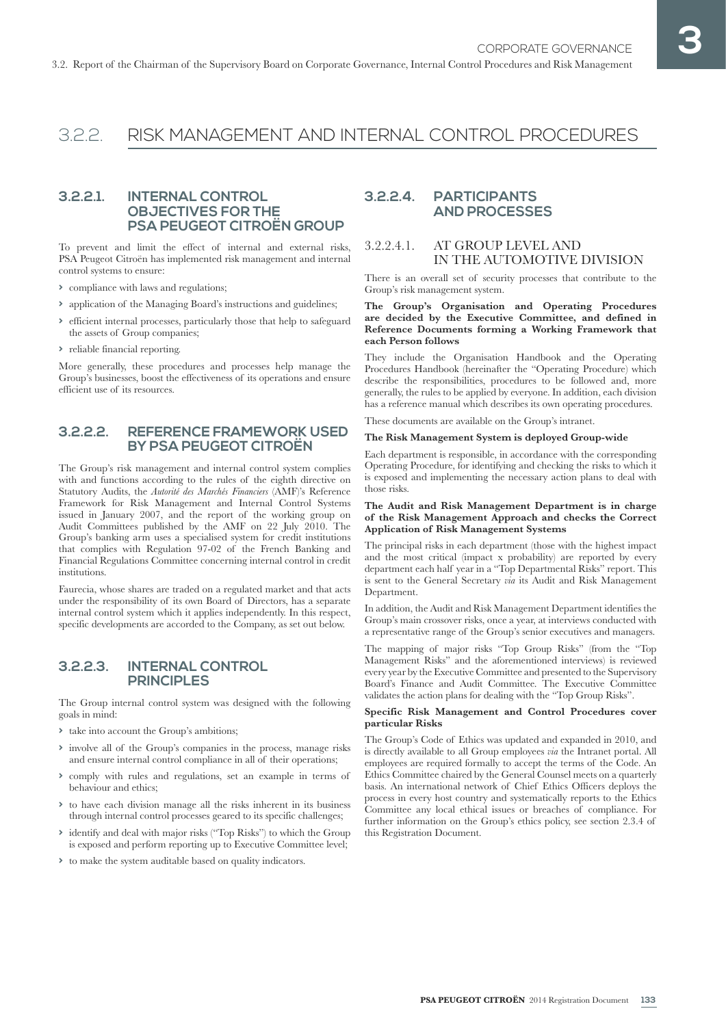## 3.2.2. RISK MANAGEMENT AND INTERNAL CONTROL PROCEDURES

## **3.2.2.1. INTERNAL CONTROL OBJECTIVES FOR THE PSA PEUGEOT CITROËN GROUP**

To prevent and limit the effect of internal and external risks, PSA Peugeot Citroën has implemented risk management and internal control systems to ensure:

- **>** compliance with laws and regulations;
- **>** application of the Managing Board's instructions and guidelines;
- **>** efficient internal processes, particularly those that help to safeguard the assets of Group companies;
- **>** reliable financial reporting.

More generally, these procedures and processes help manage the Group's businesses, boost the effectiveness of its operations and ensure efficient use of its resources.

## **3.2.2.2. REFERENCE FRAMEWORK USED BY PSA PEUGEOT CITROËN**

The Group's risk management and internal control system complies with and functions according to the rules of the eighth directive on Statutory Audits, the *Autorité des Marchés Financiers* (AMF)'s Reference Framework for Risk Management and Internal Control Systems issued in January 2007, and the report of the working group on Audit Committees published by the AMF on 22 July 2010. The Group's banking arm uses a specialised system for credit institutions that complies with Regulation 97-02 of the French Banking and Financial Regulations Committee concerning internal control in credit institutions.

Faurecia, whose shares are traded on a regulated market and that acts under the responsibility of its own Board of Directors, has a separate internal control system which it applies independently. In this respect, specific developments are accorded to the Company, as set out below.

## **3.2.2.3. INTERNAL CONTROL PRINCIPLES**

The Group internal control system was designed with the following goals in mind:

- **>** take into account the Group's ambitions;
- **>** involve all of the Group's companies in the process, manage risks and ensure internal control compliance in all of their operations;
- **>** comply with rules and regulations, set an example in terms of behaviour and ethics;
- **>** to have each division manage all the risks inherent in its business through internal control processes geared to its specific challenges;
- **>** identify and deal with major risks ("Top Risks") to which the Group is exposed and perform reporting up to Executive Committee level;
- **>** to make the system auditable based on quality indicators.

## **3.2.2.4. PARTICIPANTS AND PROCESSES**

## 3.2.2.4.1. AT GROUP LEVEL AND IN THE AUTOMOTIVE DIVISION

There is an overall set of security processes that contribute to the Group's risk management system.

#### **The Group's Organisation and Operating Procedures are decided by the Executive Committee, and defined in Reference Documents forming a Working Framework that each Person follows**

They include the Organisation Handbook and the Operating Procedures Handbook (hereinafter the "Operating Procedure) which describe the responsibilities, procedures to be followed and, more generally, the rules to be applied by everyone. In addition, each division has a reference manual which describes its own operating procedures.

These documents are available on the Group's intranet.

#### **The Risk Management System is deployed Group-wide**

Each department is responsible, in accordance with the corresponding Operating Procedure, for identifying and checking the risks to which it is exposed and implementing the necessary action plans to deal with those risks.

#### **The Audit and Risk Management Department is in charge of the Risk Management Approach and checks the Correct Application of Risk Management Systems**

The principal risks in each department (those with the highest impact and the most critical (impact x probability) are reported by every department each half year in a "Top Departmental Risks" report. This is sent to the General Secretary *via* its Audit and Risk Management Department.

In addition, the Audit and Risk Management Department identifies the Group's main crossover risks, once a year, at interviews conducted with a representative range of the Group's senior executives and managers.

The mapping of major risks "Top Group Risks" (from the "Top Management Risks" and the aforementioned interviews) is reviewed every year by the Executive Committee and presented to the Supervisory Board's Finance and Audit Committee. The Executive Committee validates the action plans for dealing with the "Top Group Risks".

#### **Specific Risk Management and Control Procedures cover particular Risks**

The Group's Code of Ethics was updated and expanded in 2010, and is directly available to all Group employees *via* the Intranet portal. All employees are required formally to accept the terms of the Code. An Ethics Committee chaired by the General Counsel meets on a quarterly basis. An international network of Chief Ethics Officers deploys the process in every host country and systematically reports to the Ethics Committee any local ethical issues or breaches of compliance. For further information on the Group's ethics policy, see section 2.3.4 of this Registration Document.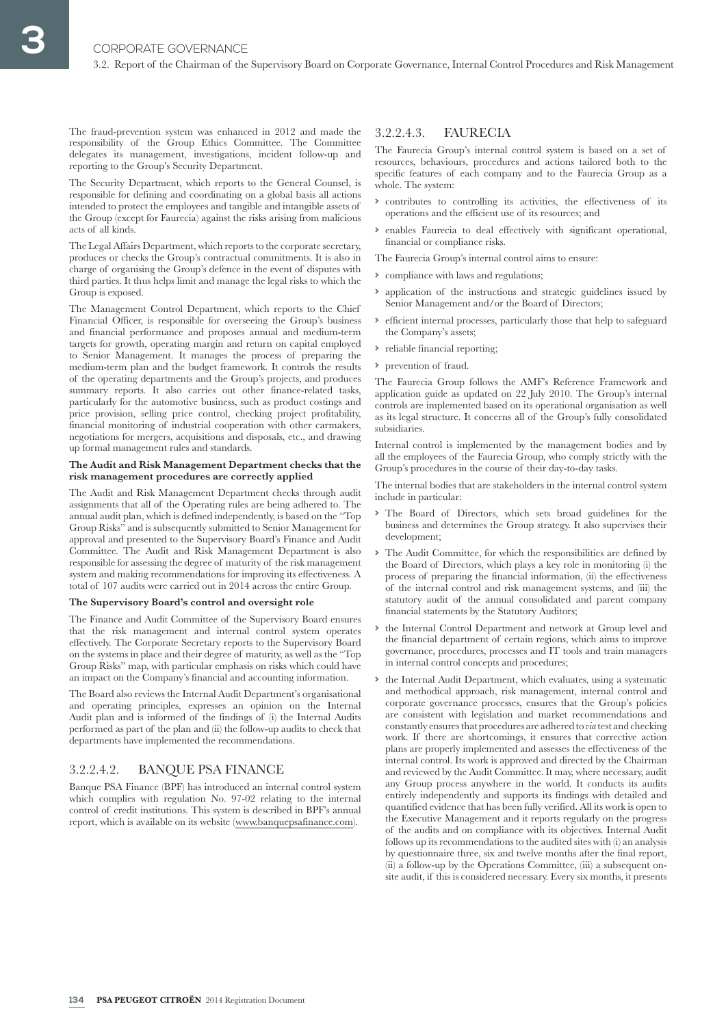The fraud-prevention system was enhanced in 2012 and made the responsibility of the Group Ethics Committee. The Committee delegates its management, investigations, incident follow-up and reporting to the Group's Security Department.

The Security Department, which reports to the General Counsel, is responsible for defining and coordinating on a global basis all actions intended to protect the employees and tangible and intangible assets of the Group (except for Faurecia) against the risks arising from malicious acts of all kinds.

The Legal Affairs Department, which reports to the corporate secretary, produces or checks the Group's contractual commitments. It is also in charge of organising the Group's defence in the event of disputes with third parties. It thus helps limit and manage the legal risks to which the Group is exposed.

The Management Control Department, which reports to the Chief Financial Officer, is responsible for overseeing the Group's business and financial performance and proposes annual and medium-term targets for growth, operating margin and return on capital employed to Senior Management. It manages the process of preparing the medium-term plan and the budget framework. It controls the results of the operating departments and the Group's projects, and produces summary reports. It also carries out other finance-related tasks, particularly for the automotive business, such as product costings and price provision, selling price control, checking project profitability, financial monitoring of industrial cooperation with other carmakers, negotiations for mergers, acquisitions and disposals, etc., and drawing up formal management rules and standards.

#### **The Audit and Risk Management Department checks that the risk management procedures are correctly applied**

The Audit and Risk Management Department checks through audit assignments that all of the Operating rules are being adhered to. The annual audit plan, which is defined independently, is based on the "Top Group Risks" and is subsequently submitted to Senior Management for approval and presented to the Supervisory Board's Finance and Audit Committee. The Audit and Risk Management Department is also responsible for assessing the degree of maturity of the risk management system and making recommendations for improving its effectiveness. A total of 107 audits were carried out in 2014 across the entire Group.

#### **The Supervisory Board's control and oversight role**

The Finance and Audit Committee of the Supervisory Board ensures that the risk management and internal control system operates effectively. The Corporate Secretary reports to the Supervisory Board on the systems in place and their degree of maturity, as well as the "Top Group Risks" map, with particular emphasis on risks which could have an impact on the Company's financial and accounting information.

The Board also reviews the Internal Audit Department's organisational and operating principles, expresses an opinion on the Internal Audit plan and is informed of the findings of (i) the Internal Audits performed as part of the plan and (ii) the follow-up audits to check that departments have implemented the recommendations.

## 3.2.2.4.2. BANQUE PSA FINANCE

Banque PSA Finance (BPF) has introduced an internal control system which complies with regulation No. 97-02 relating to the internal control of credit institutions. This system is described in BPF's annual report, which is available on its website (www.banquepsafinance.com).

## 3.2.2.4.3. FAURECIA

The Faurecia Group's internal control system is based on a set of resources, behaviours, procedures and actions tailored both to the specific features of each company and to the Faurecia Group as a whole. The system:

- **>** contributes to controlling its activities, the effectiveness of its operations and the efficient use of its resources; and
- **>** enables Faurecia to deal effectively with significant operational, financial or compliance risks.

The Faurecia Group's internal control aims to ensure:

- **>** compliance with laws and regulations;
- **>** application of the instructions and strategic guidelines issued by Senior Management and/or the Board of Directors;
- **>** efficient internal processes, particularly those that help to safeguard the Company's assets;
- **>** reliable financial reporting;
- **>** prevention of fraud.

The Faurecia Group follows the AMF's Reference Framework and application guide as updated on 22 July 2010. The Group's internal controls are implemented based on its operational organisation as well as its legal structure. It concerns all of the Group's fully consolidated subsidiaries.

Internal control is implemented by the management bodies and by all the employees of the Faurecia Group, who comply strictly with the Group's procedures in the course of their day-to-day tasks.

The internal bodies that are stakeholders in the internal control system include in particular:

- **>** The Board of Directors, which sets broad guidelines for the business and determines the Group strategy. It also supervises their development;
- **>** The Audit Committee, for which the responsibilities are defined by the Board of Directors, which plays a key role in monitoring (i) the process of preparing the financial information, (ii) the effectiveness of the internal control and risk management systems, and (iii) the statutory audit of the annual consolidated and parent company financial statements by the Statutory Auditors;
- **>** the Internal Control Department and network at Group level and the financial department of certain regions, which aims to improve governance, procedures, processes and IT tools and train managers in internal control concepts and procedures;
- **>** the Internal Audit Department, which evaluates, using a systematic and methodical approach, risk management, internal control and corporate governance processes, ensures that the Group's policies are consistent with legislation and market recommendations and constantly ensures that procedures are adhered to *via* test and checking work. If there are shortcomings, it ensures that corrective action plans are properly implemented and assesses the effectiveness of the internal control. Its work is approved and directed by the Chairman and reviewed by the Audit Committee. It may, where necessary, audit any Group process anywhere in the world. It conducts its audits entirely independently and supports its findings with detailed and quantified evidence that has been fully verified. All its work is open to the Executive Management and it reports regularly on the progress of the audits and on compliance with its objectives. Internal Audit follows up its recommendations to the audited sites with (i) an analysis by questionnaire three, six and twelve months after the final report, (ii) a follow-up by the Operations Committee, (iii) a subsequent onsite audit, if this is considered necessary. Every six months, it presents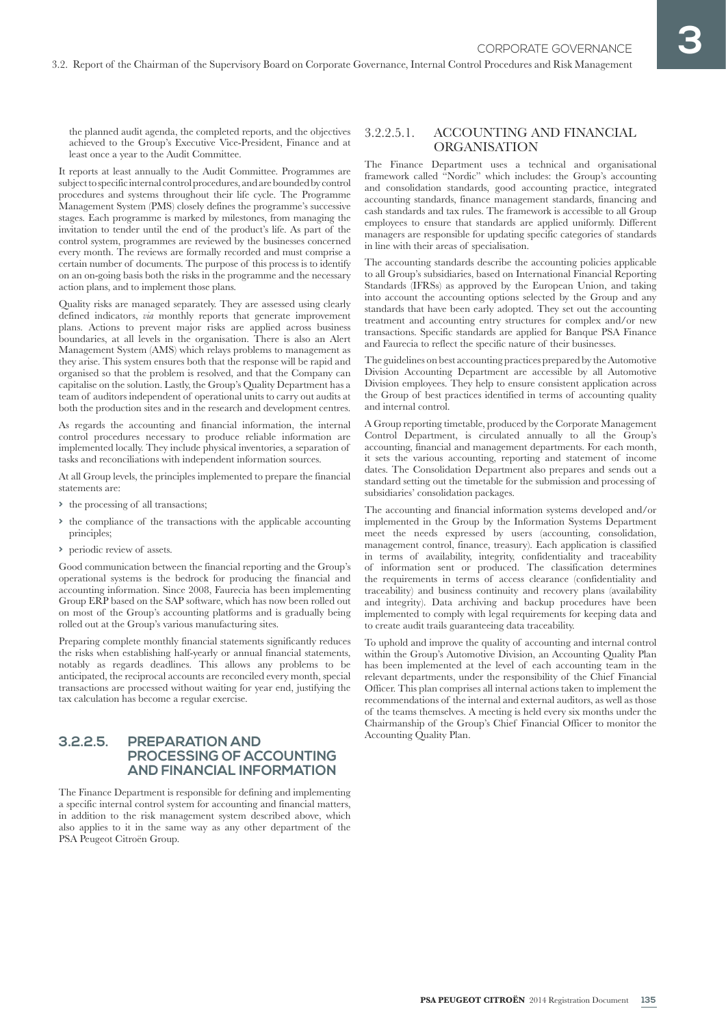the planned audit agenda, the completed reports, and the objectives achieved to the Group's Executive Vice-President, Finance and at least once a year to the Audit Committee.

It reports at least annually to the Audit Committee. Programmes are subject to specific internal control procedures, and are bounded by control procedures and systems throughout their life cycle. The Programme Management System (PMS) closely defines the programme's successive stages. Each programme is marked by milestones, from managing the invitation to tender until the end of the product's life. As part of the control system, programmes are reviewed by the businesses concerned every month. The reviews are formally recorded and must comprise a certain number of documents. The purpose of this process is to identify on an on-going basis both the risks in the programme and the necessary action plans, and to implement those plans.

Quality risks are managed separately. They are assessed using clearly defined indicators, *via* monthly reports that generate improvement plans. Actions to prevent major risks are applied across business boundaries, at all levels in the organisation. There is also an Alert Management System (AMS) which relays problems to management as they arise. This system ensures both that the response will be rapid and organised so that the problem is resolved, and that the Company can capitalise on the solution. Lastly, the Group's Quality Department has a team of auditors independent of operational units to carry out audits at both the production sites and in the research and development centres.

As regards the accounting and financial information, the internal control procedures necessary to produce reliable information are implemented locally. They include physical inventories, a separation of tasks and reconciliations with independent information sources.

At all Group levels, the principles implemented to prepare the financial statements are:

- **>** the processing of all transactions;
- **>** the compliance of the transactions with the applicable accounting principles;
- **>** periodic review of assets.

Good communication between the financial reporting and the Group's operational systems is the bedrock for producing the financial and accounting information. Since 2008, Faurecia has been implementing Group ERP based on the SAP software, which has now been rolled out on most of the Group's accounting platforms and is gradually being rolled out at the Group's various manufacturing sites.

Preparing complete monthly financial statements significantly reduces the risks when establishing half-yearly or annual financial statements, notably as regards deadlines. This allows any problems to be anticipated, the reciprocal accounts are reconciled every month, special transactions are processed without waiting for year end, justifying the tax calculation has become a regular exercise.

## **3.2.2.5. PREPARATION AND PROCESSING OF ACCOUNTING AND FINANCIAL INFORMATION**

The Finance Department is responsible for defining and implementing a specific internal control system for accounting and financial matters, in addition to the risk management system described above, which also applies to it in the same way as any other department of the PSA Peugeot Citroën Group.

## 3.2.2.5.1. ACCOUNTING AND FINANCIAL ORGANISATION

The Finance Department uses a technical and organisational framework called "Nordic" which includes: the Group's accounting and consolidation standards, good accounting practice, integrated accounting standards, finance management standards, financing and cash standards and tax rules. The framework is accessible to all Group employees to ensure that standards are applied uniformly. Different managers are responsible for updating specific categories of standards in line with their areas of specialisation.

The accounting standards describe the accounting policies applicable to all Group's subsidiaries, based on International Financial Reporting Standards (IFRSs) as approved by the European Union, and taking into account the accounting options selected by the Group and any standards that have been early adopted. They set out the accounting treatment and accounting entry structures for complex and/or new transactions. Specific standards are applied for Banque PSA Finance and Faurecia to reflect the specific nature of their businesses.

The guidelines on best accounting practices prepared by the Automotive Division Accounting Department are accessible by all Automotive Division employees. They help to ensure consistent application across the Group of best practices identified in terms of accounting quality and internal control.

A Group reporting timetable, produced by the Corporate Management Control Department, is circulated annually to all the Group's accounting, financial and management departments. For each month, it sets the various accounting, reporting and statement of income dates. The Consolidation Department also prepares and sends out a standard setting out the timetable for the submission and processing of subsidiaries' consolidation packages.

The accounting and financial information systems developed and/or implemented in the Group by the Information Systems Department meet the needs expressed by users (accounting, consolidation, management control, finance, treasury). Each application is classified in terms of availability, integrity, confidentiality and traceability of information sent or produced. The classification determines the requirements in terms of access clearance (confidentiality and traceability) and business continuity and recovery plans (availability and integrity). Data archiving and backup procedures have been implemented to comply with legal requirements for keeping data and to create audit trails guaranteeing data traceability.

To uphold and improve the quality of accounting and internal control within the Group's Automotive Division, an Accounting Quality Plan has been implemented at the level of each accounting team in the relevant departments, under the responsibility of the Chief Financial Officer. This plan comprises all internal actions taken to implement the recommendations of the internal and external auditors, as well as those of the teams themselves. A meeting is held every six months under the Chairmanship of the Group's Chief Financial Officer to monitor the Accounting Quality Plan.